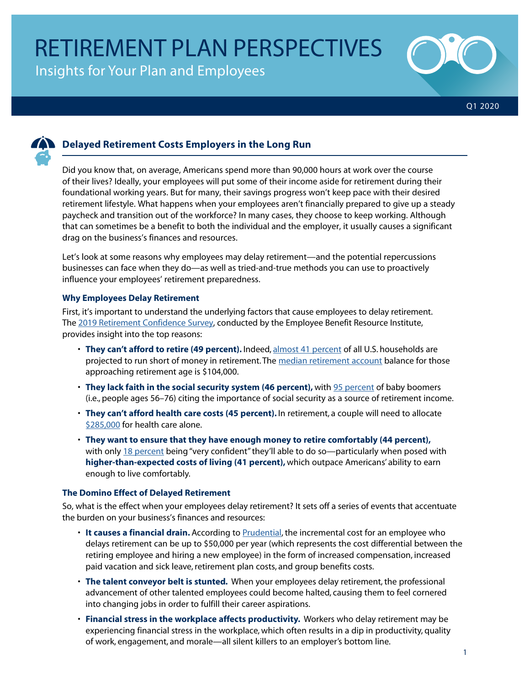Insights for Your Plan and Employees





# **Delayed Retirement Costs Employers in the Long Run**

Did you know that, on average, Americans spend more than 90,000 hours at work over the course of their lives? Ideally, your employees will put some of their income aside for retirement during their foundational working years. But for many, their savings progress won't keep pace with their desired retirement lifestyle. What happens when your employees aren't financially prepared to give up a steady paycheck and transition out of the workforce? In many cases, they choose to keep working. Although that can sometimes be a benefit to both the individual and the employer, it usually causes a significant drag on the business's finances and resources.

Let's look at some reasons why employees may delay retirement—and the potential repercussions businesses can face when they do—as well as tried-and-true methods you can use to proactively influence your employees' retirement preparedness.

## **Why Employees Delay Retirement**

First, it's important to understand the underlying factors that cause employees to delay retirement. The [2019 Retirement Confidence Survey](https://www.ebri.org/docs/default-source/rcs/2019-rcs/rcs_19-fs-2_expect.pdf?sfvrsn=2a553f2f_4), conducted by the Employee Benefit Resource Institute, provides insight into the top reasons:

- **They can't afford to retire (49 percent).** Indeed, [almost 41 percent](https://www.ebri.org/content/retirement-savings-shortfalls-evidence-from-ebri-s-2019-retirement-security-projection-model) of all U.S. households are projected to run short of money in retirement. The [median retirement account](https://crr.bc.edu/wp-content/uploads/2017/10/IB_17-18.pdf) balance for those approaching retirement age is \$104,000.
- **They lack faith in the social security system (46 percent),** with [95 percent](https://www.aarp.org/content/dam/aarp/research/surveys_statistics/econ/2018/social-security-importance-1200.jpg) of baby boomers (i.e., people ages 56–76) citing the importance of social security as a source of retirement income.
- **They can't afford health care costs (45 percent).** In retirement, a couple will need to allocate [\\$285,000](https://www.marketwatch.com/story/health-care-costs-in-retirement-continue-to-rise-heres-what-you-need-to-know-2019-04-02) for health care alone.
- **They want to ensure that they have enough money to retire comfortably (44 percent),** with only [18 percent](https://www.transamericacenter.org/docs/default-source/retirement-survey-of-workers/tcrs2019_sr_19th-annual_worker_compendium.pdf) being "very confident" they'll able to do so—particularly when posed with **higher-than-expected costs of living (41 percent),** which outpace Americans' ability to earn enough to live comfortably.

## **The Domino Effect of Delayed Retirement**

So, what is the effect when your employees delay retirement? It sets off a series of events that accentuate the burden on your business's finances and resources:

- **It causes a financial drain.** According to [Prudential](https://www.prudential.com/corporate-insights/employers-should-care-cost-delayed-retirements), the incremental cost for an employee who delays retirement can be up to \$50,000 per year (which represents the cost differential between the retiring employee and hiring a new employee) in the form of increased compensation, increased paid vacation and sick leave, retirement plan costs, and group benefits costs.
- **The talent conveyor belt is stunted.** When your employees delay retirement, the professional advancement of other talented employees could become halted, causing them to feel cornered into changing jobs in order to fulfill their career aspirations.
- **Financial stress in the workplace affects productivity.** Workers who delay retirement may be experiencing financial stress in the workplace, which often results in a dip in productivity, quality of work, engagement, and morale—all silent killers to an employer's bottom line.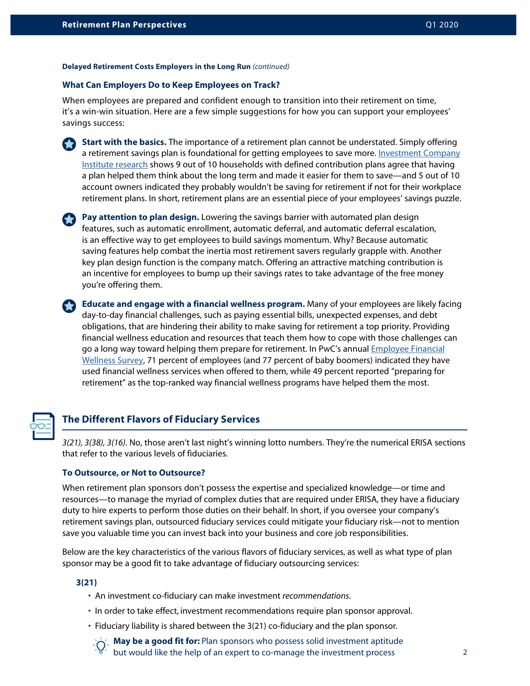#### **Delayed Retirement Costs Employers in the Long Run** *(continued)*

## **What Can Employers Do to Keep Employees on Track?**

When employees are prepared and confident enough to transition into their retirement on time, it's a win-win situation. Here are a few simple suggestions for how you can support your employees' savings success:



 **Start with the basics.** The importance of a retirement plan cannot be understated. Simply offering a retirement savings plan is foundational for getting employees to save more. [Investment Company](https://www.ici.org/pdf/20_ppr_dc_plan_saving.pdf) [Institute research](https://www.ici.org/pdf/20_ppr_dc_plan_saving.pdf) shows 9 out of 10 households with defined contribution plans agree that having a plan helped them think about the long term and made it easier for them to save—and 5 out of 10 account owners indicated they probably wouldn't be saving for retirement if not for their workplace retirement plans. In short, retirement plans are an essential piece of your employees' savings puzzle.

**Pay attention to plan design.** Lowering the savings barrier with automated plan design features, such as automatic enrollment, automatic deferral, and automatic deferral escalation, is an effective way to get employees to build savings momentum. Why? Because automatic saving features help combat the inertia most retirement savers regularly grapple with. Another key plan design function is the company match. Offering an attractive matching contribution is an incentive for employees to bump up their savings rates to take advantage of the free money you're offering them.

**Educate and engage with a financial wellness program.** Many of your employees are likely facing day-to-day financial challenges, such as paying essential bills, unexpected expenses, and debt obligations, that are hindering their ability to make saving for retirement a top priority. Providing financial wellness education and resources that teach them how to cope with those challenges can go a long way toward helping them prepare for retirement. In PwC's annual [Employee Financial](https://www.pwc.com/us/en/industries/private-company-services/library/financial-well-being-retirement-survey.html) [Wellness Survey](https://www.pwc.com/us/en/industries/private-company-services/library/financial-well-being-retirement-survey.html), 71 percent of employees (and 77 percent of baby boomers) indicated they have used financial wellness services when offered to them, while 49 percent reported "preparing for retirement" as the top-ranked way financial wellness programs have helped them the most.



## **The Different Flavors of Fiduciary Services**

*3(21), 3(38), 3(16)*. No, those aren't last night's winning lotto numbers. They're the numerical ERISA sections that refer to the various levels of fiduciaries.

### **To Outsource, or Not to Outsource?**

When retirement plan sponsors don't possess the expertise and specialized knowledge—or time and resources—to manage the myriad of complex duties that are required under ERISA, they have a fiduciary duty to hire experts to perform those duties on their behalf. In short, if you oversee your company's retirement savings plan, outsourced fiduciary services could mitigate your fiduciary risk—not to mention save you valuable time you can invest back into your business and core job responsibilities.

Below are the key characteristics of the various flavors of fiduciary services, as well as what type of plan sponsor may be a good fit to take advantage of fiduciary outsourcing services:

#### **3(21)**

- An investment co-fiduciary can make investment *recommendations*.
- In order to take effect, investment recommendations require plan sponsor approval.
- Fiduciary liability is shared between the 3(21) co-fiduciary and the plan sponsor.

 **May be a good fit for:** Plan sponsors who possess solid investment aptitude but would like the help of an expert to co-manage the investment process